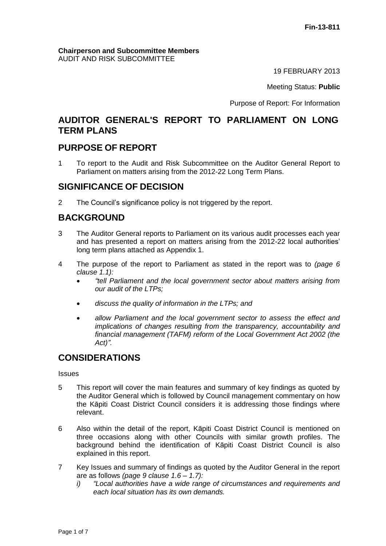#### **Chairperson and Subcommittee Members** AUDIT AND RISK SUBCOMMITTEE

19 FEBRUARY 2013

Meeting Status: **Public**

Purpose of Report: For Information

# **AUDITOR GENERAL'S REPORT TO PARLIAMENT ON LONG TERM PLANS**

# **PURPOSE OF REPORT**

1 To report to the Audit and Risk Subcommittee on the Auditor General Report to Parliament on matters arising from the 2012-22 Long Term Plans.

## **SIGNIFICANCE OF DECISION**

2 The Council's significance policy is not triggered by the report.

# **BACKGROUND**

- 3 The Auditor General reports to Parliament on its various audit processes each year and has presented a report on matters arising from the 2012-22 local authorities' long term plans attached as Appendix 1.
- 4 The purpose of the report to Parliament as stated in the report was to *(page 6 clause 1.1):*
	- *"tell Parliament and the local government sector about matters arising from our audit of the LTPs;*
	- *discuss the quality of information in the LTPs; and*
	- *allow Parliament and the local government sector to assess the effect and implications of changes resulting from the transparency, accountability and financial management (TAFM) reform of the Local Government Act 2002 (the Act)".*

# **CONSIDERATIONS**

**Issues** 

- 5 This report will cover the main features and summary of key findings as quoted by the Auditor General which is followed by Council management commentary on how the Kāpiti Coast District Council considers it is addressing those findings where relevant.
- 6 Also within the detail of the report, Kāpiti Coast District Council is mentioned on three occasions along with other Councils with similar growth profiles. The background behind the identification of Kāpiti Coast District Council is also explained in this report.
- 7 Key Issues and summary of findings as quoted by the Auditor General in the report are as follows *(page 9 clause 1.6 – 1.7):*
	- *i) "Local authorities have a wide range of circumstances and requirements and each local situation has its own demands.*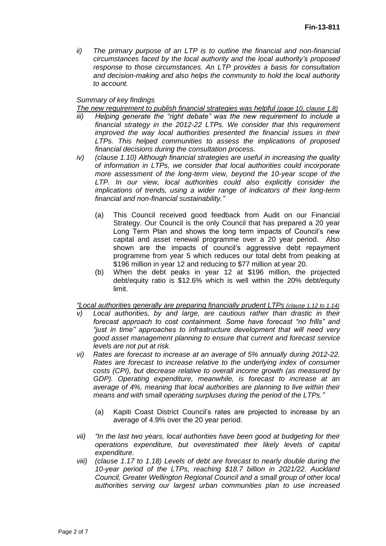*ii) The primary purpose of an LTP is to outline the financial and non-financial circumstances faced by the local authority and the local authority's proposed response to those circumstances. An LTP provides a basis for consultation and decision-making and also helps the community to hold the local authority to account.*

#### *Summary of key findings*

*The new requirement to publish financial strategies was helpful (page 10, clause 1.8)*

- *iii) Helping generate the "right debate" was the new requirement to include a financial strategy in the 2012-22 LTPs. We consider that this requirement improved the way local authorities presented the financial issues in their LTPs. This helped communities to assess the implications of proposed financial decisions during the consultation process.*
- *iv*) *(clause 1.10) Although financial strategies are useful in increasing the quality of information in LTPs, we consider that local authorities could incorporate more assessment of the long-term view, beyond the 10-year scope of the LTP. In our view, local authorities could also explicitly consider the implications of trends, using a wider range of indicators of their long-term financial and non-financial sustainability."*
	- (a) This Council received good feedback from Audit on our Financial Strategy. Our Council is the only Council that has prepared a 20 year Long Term Plan and shows the long term impacts of Council's new capital and asset renewal programme over a 20 year period. Also shown are the impacts of council's aggressive debt repayment programme from year 5 which reduces our total debt from peaking at \$196 million in year 12 and reducing to \$77 million at year 20.
	- (b) When the debt peaks in year 12 at \$196 million, the projected debt/equity ratio is \$12.6% which is well within the 20% debt/equity limit.

*"Local authorities generally are preparing financially prudent LTPs (clause 1.12 to 1.14)*

- *v) Local authorities, by and large, are cautious rather than drastic in their forecast approach to cost containment. Some have forecast "no frills" and "just in time" approaches to infrastructure development that will need very good asset management planning to ensure that current and forecast service levels are not put at risk.*
- *vi) Rates are forecast to increase at an average of 5% annually during 2012-22. Rates are forecast to increase relative to the underlying index of consumer costs (CPI), but decrease relative to overall income growth (as measured by GDP). Operating expenditure, meanwhile, is forecast to increase at an average of 4%, meaning that local authorities are planning to live within their means and with small operating surpluses during the period of the LTPs."*
	- (a) Kapiti Coast District Council's rates are projected to increase by an average of 4.9% over the 20 year period.
- *vii) "In the last two years, local authorities have been good at budgeting for their operations expenditure, but overestimated their likely levels of capital expenditure.*
- *viii) (clause 1.17 to 1.18) Levels of debt are forecast to nearly double during the 10-year period of the LTPs, reaching \$18.7 billion in 2021/22. Auckland Council, Greater Wellington Regional Council and a small group of other local authorities serving our largest urban communities plan to use increased*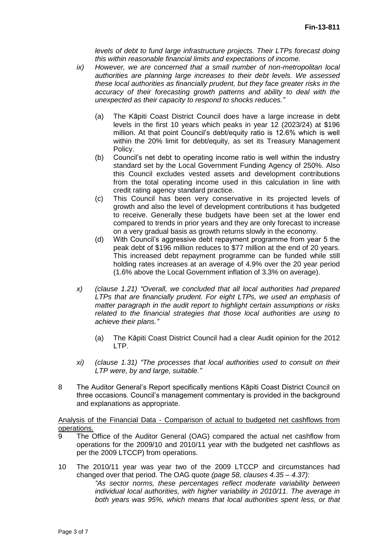*levels of debt to fund large infrastructure projects. Their LTPs forecast doing this within reasonable financial limits and expectations of income.*

- *ix) However, we are concerned that a small number of non-metropolitan local authorities are planning large increases to their debt levels. We assessed these local authorities as financially prudent, but they face greater risks in the accuracy of their forecasting growth patterns and ability to deal with the unexpected as their capacity to respond to shocks reduces."*
	- (a) The Kāpiti Coast District Council does have a large increase in debt levels in the first 10 years which peaks in year 12 (2023/24) at \$196 million. At that point Council's debt/equity ratio is 12.6% which is well within the 20% limit for debt/equity, as set its Treasury Management Policy.
	- (b) Council's net debt to operating income ratio is well within the industry standard set by the Local Government Funding Agency of 250%. Also this Council excludes vested assets and development contributions from the total operating income used in this calculation in line with credit rating agency standard practice.
	- (c) This Council has been very conservative in its projected levels of growth and also the level of development contributions it has budgeted to receive. Generally these budgets have been set at the lower end compared to trends in prior years and they are only forecast to increase on a very gradual basis as growth returns slowly in the economy.
	- (d) With Council's aggressive debt repayment programme from year 5 the peak debt of \$196 million reduces to \$77 million at the end of 20 years. This increased debt repayment programme can be funded while still holding rates increases at an average of 4.9% over the 20 year period (1.6% above the Local Government inflation of 3.3% on average).
- *x) (clause 1.21) "Overall, we concluded that all local authorities had prepared LTPs that are financially prudent. For eight LTPs, we used an emphasis of matter paragraph in the audit report to highlight certain assumptions or risks related to the financial strategies that those local authorities are using to achieve their plans."*
	- (a) The Kāpiti Coast District Council had a clear Audit opinion for the 2012 LTP.
- *xi) (clause 1.31) "The processes that local authorities used to consult on their LTP were, by and large, suitable."*
- 8 The Auditor General's Report specifically mentions Kāpiti Coast District Council on three occasions. Council's management commentary is provided in the background and explanations as appropriate.

Analysis of the Financial Data - Comparison of actual to budgeted net cashflows from operations.

- 9 The Office of the Auditor General (OAG) compared the actual net cashflow from operations for the 2009/10 and 2010/11 year with the budgeted net cashflows as per the 2009 LTCCP) from operations.
- 10 The 2010/11 year was year two of the 2009 LTCCP and circumstances had changed over that period. The OAG quote *(page 58, clauses 4.35 – 4.37)*:

*"As sector norms, these percentages reflect moderate variability between individual local authorities, with higher variability in 2010/11. The average in both years was 95%, which means that local authorities spent less, or that*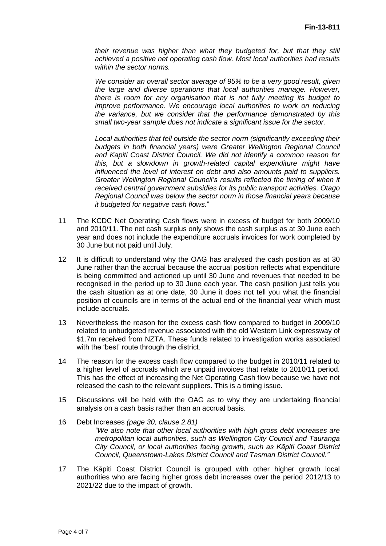*their revenue was higher than what they budgeted for, but that they still achieved a positive net operating cash flow. Most local authorities had results within the sector norms.*

*We consider an overall sector average of 95% to be a very good result, given the large and diverse operations that local authorities manage. However, there is room for any organisation that is not fully meeting its budget to improve performance. We encourage local authorities to work on reducing the variance, but we consider that the performance demonstrated by this small two-year sample does not indicate a significant issue for the sector.* 

*Local authorities that fell outside the sector norm (significantly exceeding their budgets in both financial years) were Greater Wellington Regional Council and Kapiti Coast District Council. We did not identify a common reason for this, but a slowdown in growth-related capital expenditure might have influenced the level of interest on debt and also amounts paid to suppliers. Greater Wellington Regional Council's results reflected the timing of when it received central government subsidies for its public transport activities. Otago Regional Council was below the sector norm in those financial years because it budgeted for negative cash flows.*"

- 11 The KCDC Net Operating Cash flows were in excess of budget for both 2009/10 and 2010/11. The net cash surplus only shows the cash surplus as at 30 June each year and does not include the expenditure accruals invoices for work completed by 30 June but not paid until July.
- 12 It is difficult to understand why the OAG has analysed the cash position as at 30 June rather than the accrual because the accrual position reflects what expenditure is being committed and actioned up until 30 June and revenues that needed to be recognised in the period up to 30 June each year. The cash position just tells you the cash situation as at one date, 30 June it does not tell you what the financial position of councils are in terms of the actual end of the financial year which must include accruals.
- 13 Nevertheless the reason for the excess cash flow compared to budget in 2009/10 related to unbudgeted revenue associated with the old Western Link expressway of \$1.7m received from NZTA. These funds related to investigation works associated with the 'best' route through the district.
- 14 The reason for the excess cash flow compared to the budget in 2010/11 related to a higher level of accruals which are unpaid invoices that relate to 2010/11 period. This has the effect of increasing the Net Operating Cash flow because we have not released the cash to the relevant suppliers. This is a timing issue.
- 15 Discussions will be held with the OAG as to why they are undertaking financial analysis on a cash basis rather than an accrual basis.
- 16 Debt Increases *(page 30, clause 2.81) "We also note that other local authorities with high gross debt increases are metropolitan local authorities, such as Wellington City Council and Tauranga City Council, or local authorities facing growth, such as Kāpiti Coast District Council, Queenstown-Lakes District Council and Tasman District Council."*
- 17 The Kāpiti Coast District Council is grouped with other higher growth local authorities who are facing higher gross debt increases over the period 2012/13 to 2021/22 due to the impact of growth.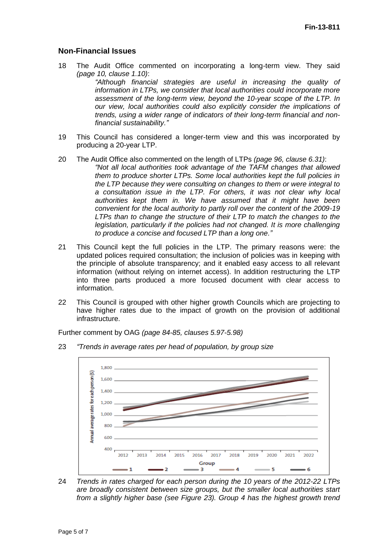## **Non-Financial Issues**

18 The Audit Office commented on incorporating a long-term view. They said *(page 10, clause 1.10)*:

*"Although financial strategies are useful in increasing the quality of information in LTPs, we consider that local authorities could incorporate more assessment of the long-term view, beyond the 10-year scope of the LTP. In our view, local authorities could also explicitly consider the implications of trends, using a wider range of indicators of their long-term financial and nonfinancial sustainability."*

- 19 This Council has considered a longer-term view and this was incorporated by producing a 20-year LTP.
- 20 The Audit Office also commented on the length of LTPs *(page 96, clause 6.31)*: *"Not all local authorities took advantage of the TAFM changes that allowed them to produce shorter LTPs. Some local authorities kept the full policies in the LTP because they were consulting on changes to them or were integral to a consultation issue in the LTP. For others, it was not clear why local authorities kept them in. We have assumed that it might have been convenient for the local authority to partly roll over the content of the 2009-19 LTPs than to change the structure of their LTP to match the changes to the*  legislation, particularly if the policies had not changed. It is more challenging *to produce a concise and focused LTP than a long one."*
- 21 This Council kept the full policies in the LTP. The primary reasons were: the updated polices required consultation; the inclusion of policies was in keeping with the principle of absolute transparency; and it enabled easy access to all relevant information (without relying on internet access). In addition restructuring the LTP into three parts produced a more focused document with clear access to information.
- 22 This Council is grouped with other higher growth Councils which are projecting to have higher rates due to the impact of growth on the provision of additional infrastructure.

Further comment by OAG *(page 84-85, clauses 5.97-5.98)*

23 *"Trends in average rates per head of population, by group size*



24 *Trends in rates charged for each person during the 10 years of the 2012-22 LTPs are broadly consistent between size groups, but the smaller local authorities start from a slightly higher base (see Figure 23). Group 4 has the highest growth trend*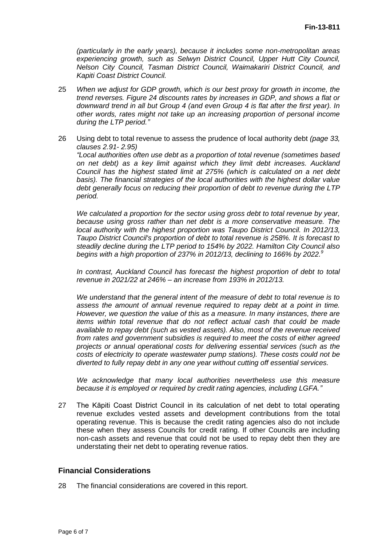*(particularly in the early years), because it includes some non-metropolitan areas experiencing growth, such as Selwyn District Council, Upper Hutt City Council, Nelson City Council, Tasman District Council, Waimakariri District Council, and Kapiti Coast District Council.*

- 25 *When we adjust for GDP growth, which is our best proxy for growth in income, the trend reverses. Figure 24 discounts rates by increases in GDP, and shows a flat or downward trend in all but Group 4 (and even Group 4 is flat after the first year). In other words, rates might not take up an increasing proportion of personal income during the LTP period."*
- 26 Using debt to total revenue to assess the prudence of local authority debt *(page 33, clauses 2.91- 2.95) "Local authorities often use debt as a proportion of total revenue (sometimes based on net debt) as a key limit against which they limit debt increases. Auckland Council has the highest stated limit at 275% (which is calculated on a net debt basis). The financial strategies of the local authorities with the highest dollar value debt generally focus on reducing their proportion of debt to revenue during the LTP period.*

*We calculated a proportion for the sector using gross debt to total revenue by year, because using gross rather than net debt is a more conservative measure. The local authority with the highest proportion was Taupo District Council. In 2012/13, Taupo District Council's proportion of debt to total revenue is 258%. It is forecast to steadily decline during the LTP period to 154% by 2022. Hamilton City Council also begins with a high proportion of 237% in 2012/13, declining to 166% by 2022.<sup>9</sup>*

*In contrast, Auckland Council has forecast the highest proportion of debt to total revenue in 2021/22 at 246% – an increase from 193% in 2012/13.*

*We understand that the general intent of the measure of debt to total revenue is to assess the amount of annual revenue required to repay debt at a point in time. However, we question the value of this as a measure. In many instances, there are items within total revenue that do not reflect actual cash that could be made available to repay debt (such as vested assets). Also, most of the revenue received from rates and government subsidies is required to meet the costs of either agreed projects or annual operational costs for delivering essential services (such as the costs of electricity to operate wastewater pump stations). These costs could not be diverted to fully repay debt in any one year without cutting off essential services.*

*We acknowledge that many local authorities nevertheless use this measure because it is employed or required by credit rating agencies, including LGFA."*

27 The Kāpiti Coast District Council in its calculation of net debt to total operating revenue excludes vested assets and development contributions from the total operating revenue. This is because the credit rating agencies also do not include these when they assess Councils for credit rating. If other Councils are including non-cash assets and revenue that could not be used to repay debt then they are understating their net debt to operating revenue ratios.

### **Financial Considerations**

28 The financial considerations are covered in this report.